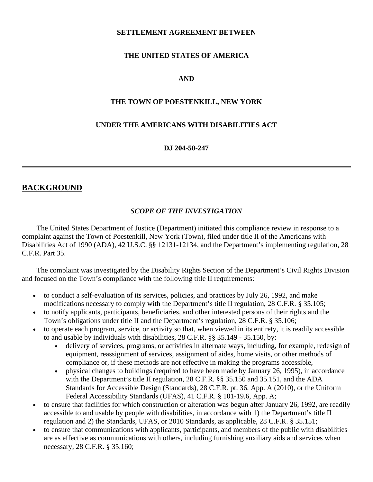#### **SETTLEMENT AGREEMENT BETWEEN**

### **THE UNITED STATES OF AMERICA**

### **AND**

#### **THE TOWN OF POESTENKILL, NEW YORK**

#### **UNDER THE AMERICANS WITH DISABILITIES ACT**

#### **DJ 204-50-247**

### **BACKGROUND**

#### *SCOPE OF THE INVESTIGATION*

The United States Department of Justice (Department) initiated this compliance review in response to a complaint against the Town of Poestenkill, New York (Town), filed under title II of the Americans with Disabilities Act of 1990 (ADA), 42 U.S.C. §§ 12131-12134, and the Department's implementing regulation, 28 C.F.R. Part 35.

The complaint was investigated by the Disability Rights Section of the Department's Civil Rights Division and focused on the Town's compliance with the following title II requirements:

- to conduct a self-evaluation of its services, policies, and practices by July 26, 1992, and make modifications necessary to comply with the Department's title II regulation, 28 C.F.R. § 35.105;
- to notify applicants, participants, beneficiaries, and other interested persons of their rights and the Town's obligations under title II and the Department's regulation, 28 C.F.R. § 35.106;
- to operate each program, service, or activity so that, when viewed in its entirety, it is readily accessible to and usable by individuals with disabilities, 28 C.F.R. §§ 35.149 - 35.150, by:
	- delivery of services, programs, or activities in alternate ways, including, for example, redesign of equipment, reassignment of services, assignment of aides, home visits, or other methods of compliance or, if these methods are not effective in making the programs accessible,
	- physical changes to buildings (required to have been made by January 26, 1995), in accordance with the Department's title II regulation, 28 C.F.R. §§ 35.150 and 35.151, and the ADA Standards for Accessible Design (Standards), 28 C.F.R. pt. 36, App. A (2010), or the Uniform Federal Accessibility Standards (UFAS), 41 C.F.R. § 101-19.6, App. A;
- to ensure that facilities for which construction or alteration was begun after January 26, 1992, are readily accessible to and usable by people with disabilities, in accordance with 1) the Department's title II regulation and 2) the Standards, UFAS, or 2010 Standards, as applicable, 28 C.F.R. § 35.151;
- to ensure that communications with applicants, participants, and members of the public with disabilities are as effective as communications with others, including furnishing auxiliary aids and services when necessary, 28 C.F.R. § 35.160;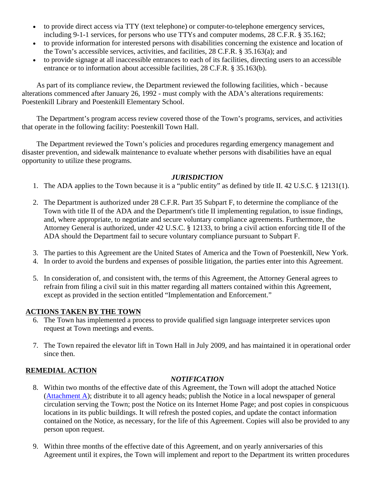- to provide direct access via TTY (text telephone) or computer-to-telephone emergency services, including 9-1-1 services, for persons who use TTYs and computer modems, 28 C.F.R. § 35.162;
- to provide information for interested persons with disabilities concerning the existence and location of the Town's accessible services, activities, and facilities, 28 C.F.R. § 35.163(a); and
- to provide signage at all inaccessible entrances to each of its facilities, directing users to an accessible entrance or to information about accessible facilities, 28 C.F.R. § 35.163(b).

As part of its compliance review, the Department reviewed the following facilities, which - because alterations commenced after January 26, 1992 - must comply with the ADA's alterations requirements: Poestenkill Library and Poestenkill Elementary School.

The Department's program access review covered those of the Town's programs, services, and activities that operate in the following facility: Poestenkill Town Hall.

The Department reviewed the Town's policies and procedures regarding emergency management and disaster prevention, and sidewalk maintenance to evaluate whether persons with disabilities have an equal opportunity to utilize these programs.

## *JURISDICTION*

- 1. The ADA applies to the Town because it is a "public entity" as defined by title II. 42 U.S.C. § 12131(1).
- 2. The Department is authorized under 28 C.F.R. Part 35 Subpart F, to determine the compliance of the Town with title II of the ADA and the Department's title II implementing regulation, to issue findings, and, where appropriate, to negotiate and secure voluntary compliance agreements. Furthermore, the Attorney General is authorized, under 42 U.S.C. § 12133, to bring a civil action enforcing title II of the ADA should the Department fail to secure voluntary compliance pursuant to Subpart F.
- 3. The parties to this Agreement are the United States of America and the Town of Poestenkill, New York.
- 4. In order to avoid the burdens and expenses of possible litigation, the parties enter into this Agreement.
- 5. In consideration of, and consistent with, the terms of this Agreement, the Attorney General agrees to refrain from filing a civil suit in this matter regarding all matters contained within this Agreement, except as provided in the section entitled "Implementation and Enforcement."

### **ACTIONS TAKEN BY THE TOWN**

- 6. The Town has implemented a process to provide qualified sign language interpreter services upon request at Town meetings and events.
- 7. The Town repaired the elevator lift in Town Hall in July 2009, and has maintained it in operational order since then.

## **REMEDIAL ACTION**

#### *NOTIFICATION*

- 8. Within two months of the effective date of this Agreement, the Town will adopt the attached Notice [\(Attachment A\)](http://www.ada.gov/poestenkill-pca/poestenkill-atta.htm); distribute it to all agency heads; publish the Notice in a local newspaper of general circulation serving the Town; post the Notice on its Internet Home Page; and post copies in conspicuous locations in its public buildings. It will refresh the posted copies, and update the contact information contained on the Notice, as necessary, for the life of this Agreement. Copies will also be provided to any person upon request.
- 9. Within three months of the effective date of this Agreement, and on yearly anniversaries of this Agreement until it expires, the Town will implement and report to the Department its written procedures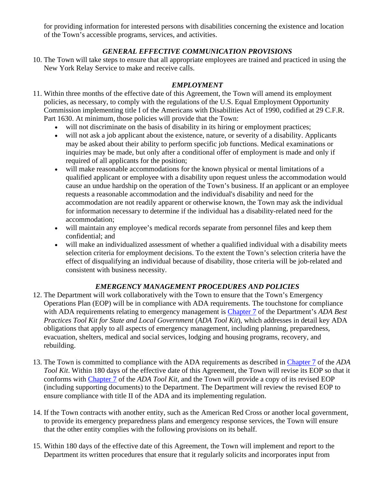for providing information for interested persons with disabilities concerning the existence and location of the Town's accessible programs, services, and activities.

# *GENERAL EFFECTIVE COMMUNICATION PROVISIONS*

10. The Town will take steps to ensure that all appropriate employees are trained and practiced in using the New York Relay Service to make and receive calls.

# *EMPLOYMENT*

- 11. Within three months of the effective date of this Agreement, the Town will amend its employment policies, as necessary, to comply with the regulations of the U.S. Equal Employment Opportunity Commission implementing title I of the Americans with Disabilities Act of 1990, codified at 29 C.F.R. Part 1630. At minimum, those policies will provide that the Town:
	- will not discriminate on the basis of disability in its hiring or employment practices;
	- will not ask a job applicant about the existence, nature, or severity of a disability. Applicants may be asked about their ability to perform specific job functions. Medical examinations or inquiries may be made, but only after a conditional offer of employment is made and only if required of all applicants for the position;
	- will make reasonable accommodations for the known physical or mental limitations of a qualified applicant or employee with a disability upon request unless the accommodation would cause an undue hardship on the operation of the Town's business. If an applicant or an employee requests a reasonable accommodation and the individual's disability and need for the accommodation are not readily apparent or otherwise known, the Town may ask the individual for information necessary to determine if the individual has a disability-related need for the accommodation;
	- will maintain any employee's medical records separate from personnel files and keep them confidential; and
	- will make an individualized assessment of whether a qualified individual with a disability meets selection criteria for employment decisions. To the extent the Town's selection criteria have the effect of disqualifying an individual because of disability, those criteria will be job-related and consistent with business necessity.

# *EMERGENCY MANAGEMENT PROCEDURES AND POLICIES*

- 12. The Department will work collaboratively with the Town to ensure that the Town's Emergency Operations Plan (EOP) will be in compliance with ADA requirements. The touchstone for compliance with ADA requirements relating to emergency management is [Chapter 7](http://www.ada.gov/pcatoolkit/toolkitmain.htm#pcatoolkitch7) of the Department's *ADA Best Practices Tool Kit for State and Local Government* (*ADA Tool Kit*), which addresses in detail key ADA obligations that apply to all aspects of emergency management, including planning, preparedness, evacuation, shelters, medical and social services, lodging and housing programs, recovery, and rebuilding.
- 13. The Town is committed to compliance with the ADA requirements as described in [Chapter 7](http://www.ada.gov/pcatoolkit/toolkitmain.htm#pcatoolkitch7) of the *ADA Tool Kit*. Within 180 days of the effective date of this Agreement, the Town will revise its EOP so that it conforms with [Chapter 7](http://www.ada.gov/pcatoolkit/toolkitmain.htm#pcatoolkitch7) of the *ADA Tool Kit*, and the Town will provide a copy of its revised EOP (including supporting documents) to the Department. The Department will review the revised EOP to ensure compliance with title II of the ADA and its implementing regulation.
- 14. If the Town contracts with another entity, such as the American Red Cross or another local government, to provide its emergency preparedness plans and emergency response services, the Town will ensure that the other entity complies with the following provisions on its behalf.
- 15. Within 180 days of the effective date of this Agreement, the Town will implement and report to the Department its written procedures that ensure that it regularly solicits and incorporates input from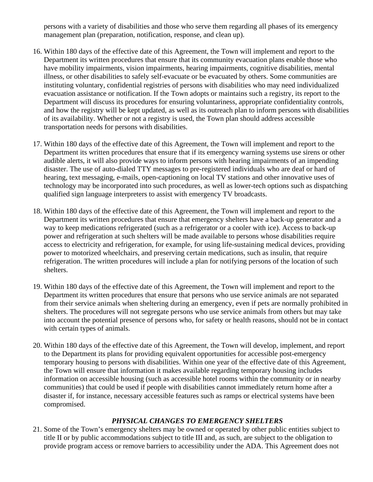persons with a variety of disabilities and those who serve them regarding all phases of its emergency management plan (preparation, notification, response, and clean up).

- 16. Within 180 days of the effective date of this Agreement, the Town will implement and report to the Department its written procedures that ensure that its community evacuation plans enable those who have mobility impairments, vision impairments, hearing impairments, cognitive disabilities, mental illness, or other disabilities to safely self-evacuate or be evacuated by others. Some communities are instituting voluntary, confidential registries of persons with disabilities who may need individualized evacuation assistance or notification. If the Town adopts or maintains such a registry, its report to the Department will discuss its procedures for ensuring voluntariness, appropriate confidentiality controls, and how the registry will be kept updated, as well as its outreach plan to inform persons with disabilities of its availability. Whether or not a registry is used, the Town plan should address accessible transportation needs for persons with disabilities.
- 17. Within 180 days of the effective date of this Agreement, the Town will implement and report to the Department its written procedures that ensure that if its emergency warning systems use sirens or other audible alerts, it will also provide ways to inform persons with hearing impairments of an impending disaster. The use of auto-dialed TTY messages to pre-registered individuals who are deaf or hard of hearing, text messaging, e-mails, open-captioning on local TV stations and other innovative uses of technology may be incorporated into such procedures, as well as lower-tech options such as dispatching qualified sign language interpreters to assist with emergency TV broadcasts.
- 18. Within 180 days of the effective date of this Agreement, the Town will implement and report to the Department its written procedures that ensure that emergency shelters have a back-up generator and a way to keep medications refrigerated (such as a refrigerator or a cooler with ice). Access to back-up power and refrigeration at such shelters will be made available to persons whose disabilities require access to electricity and refrigeration, for example, for using life-sustaining medical devices, providing power to motorized wheelchairs, and preserving certain medications, such as insulin, that require refrigeration. The written procedures will include a plan for notifying persons of the location of such shelters.
- 19. Within 180 days of the effective date of this Agreement, the Town will implement and report to the Department its written procedures that ensure that persons who use service animals are not separated from their service animals when sheltering during an emergency, even if pets are normally prohibited in shelters. The procedures will not segregate persons who use service animals from others but may take into account the potential presence of persons who, for safety or health reasons, should not be in contact with certain types of animals.
- 20. Within 180 days of the effective date of this Agreement, the Town will develop, implement, and report to the Department its plans for providing equivalent opportunities for accessible post-emergency temporary housing to persons with disabilities. Within one year of the effective date of this Agreement, the Town will ensure that information it makes available regarding temporary housing includes information on accessible housing (such as accessible hotel rooms within the community or in nearby communities) that could be used if people with disabilities cannot immediately return home after a disaster if, for instance, necessary accessible features such as ramps or electrical systems have been compromised.

## *PHYSICAL CHANGES TO EMERGENCY SHELTERS*

21. Some of the Town's emergency shelters may be owned or operated by other public entities subject to title II or by public accommodations subject to title III and, as such, are subject to the obligation to provide program access or remove barriers to accessibility under the ADA. This Agreement does not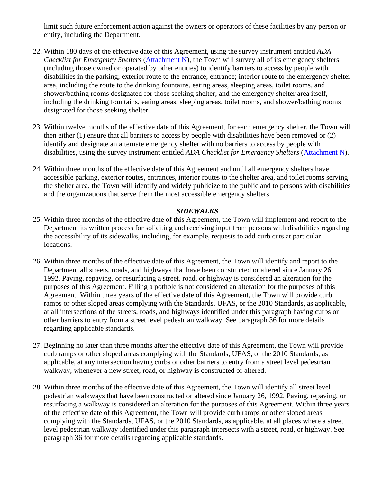limit such future enforcement action against the owners or operators of these facilities by any person or entity, including the Department.

- 22. Within 180 days of the effective date of this Agreement, using the survey instrument entitled *ADA Checklist for Emergency Shelters* [\(Attachment N\)](http://www.ada.gov/pcatoolkit/chap7shelterchk.htm), the Town will survey all of its emergency shelters (including those owned or operated by other entities) to identify barriers to access by people with disabilities in the parking; exterior route to the entrance; entrance; interior route to the emergency shelter area, including the route to the drinking fountains, eating areas, sleeping areas, toilet rooms, and shower/bathing rooms designated for those seeking shelter; and the emergency shelter area itself, including the drinking fountains, eating areas, sleeping areas, toilet rooms, and shower/bathing rooms designated for those seeking shelter.
- 23. Within twelve months of the effective date of this Agreement, for each emergency shelter, the Town will then either (1) ensure that all barriers to access by people with disabilities have been removed or (2) identify and designate an alternate emergency shelter with no barriers to access by people with disabilities, using the survey instrument entitled *ADA Checklist for Emergency Shelters* [\(Attachment N\)](http://www.ada.gov/pcatoolkit/chap7shelterchk.htm).
- 24. Within three months of the effective date of this Agreement and until all emergency shelters have accessible parking, exterior routes, entrances, interior routes to the shelter area, and toilet rooms serving the shelter area, the Town will identify and widely publicize to the public and to persons with disabilities and the organizations that serve them the most accessible emergency shelters.

### *SIDEWALKS*

- 25. Within three months of the effective date of this Agreement, the Town will implement and report to the Department its written process for soliciting and receiving input from persons with disabilities regarding the accessibility of its sidewalks, including, for example, requests to add curb cuts at particular locations.
- 26. Within three months of the effective date of this Agreement, the Town will identify and report to the Department all streets, roads, and highways that have been constructed or altered since January 26, 1992. Paving, repaving, or resurfacing a street, road, or highway is considered an alteration for the purposes of this Agreement. Filling a pothole is not considered an alteration for the purposes of this Agreement. Within three years of the effective date of this Agreement, the Town will provide curb ramps or other sloped areas complying with the Standards, UFAS, or the 2010 Standards, as applicable, at all intersections of the streets, roads, and highways identified under this paragraph having curbs or other barriers to entry from a street level pedestrian walkway. See paragraph 36 for more details regarding applicable standards.
- 27. Beginning no later than three months after the effective date of this Agreement, the Town will provide curb ramps or other sloped areas complying with the Standards, UFAS, or the 2010 Standards, as applicable, at any intersection having curbs or other barriers to entry from a street level pedestrian walkway, whenever a new street, road, or highway is constructed or altered.
- 28. Within three months of the effective date of this Agreement, the Town will identify all street level pedestrian walkways that have been constructed or altered since January 26, 1992. Paving, repaving, or resurfacing a walkway is considered an alteration for the purposes of this Agreement. Within three years of the effective date of this Agreement, the Town will provide curb ramps or other sloped areas complying with the Standards, UFAS, or the 2010 Standards, as applicable, at all places where a street level pedestrian walkway identified under this paragraph intersects with a street, road, or highway. See paragraph 36 for more details regarding applicable standards.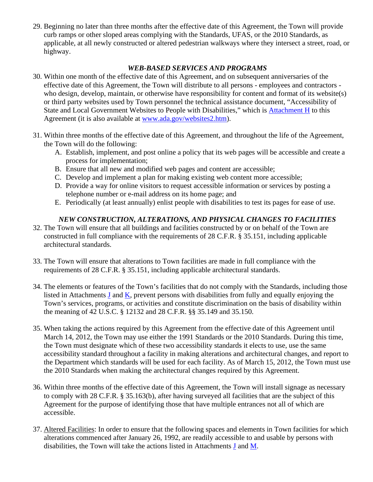29. Beginning no later than three months after the effective date of this Agreement, the Town will provide curb ramps or other sloped areas complying with the Standards, UFAS, or the 2010 Standards, as applicable, at all newly constructed or altered pedestrian walkways where they intersect a street, road, or highway.

## *WEB-BASED SERVICES AND PROGRAMS*

- 30. Within one month of the effective date of this Agreement, and on subsequent anniversaries of the effective date of this Agreement, the Town will distribute to all persons - employees and contractors who design, develop, maintain, or otherwise have responsibility for content and format of its website(s) or third party websites used by Town personnel the technical assistance document, "Accessibility of State and Local Government Websites to People with Disabilities," which is [Attachment H](http://www.ada.gov/websites2.htm) to this Agreement (it is also available at [www.ada.gov/websites2.htm\)](http://www.ada.gov/websites2.htm).
- 31. Within three months of the effective date of this Agreement, and throughout the life of the Agreement, the Town will do the following:
	- A. Establish, implement, and post online a policy that its web pages will be accessible and create a process for implementation;
	- B. Ensure that all new and modified web pages and content are accessible;
	- C. Develop and implement a plan for making existing web content more accessible;
	- D. Provide a way for online visitors to request accessible information or services by posting a telephone number or e-mail address on its home page; and
	- E. Periodically (at least annually) enlist people with disabilities to test its pages for ease of use.

# *NEW CONSTRUCTION, ALTERATIONS, AND PHYSICAL CHANGES TO FACILITIES*

- 32. The Town will ensure that all buildings and facilities constructed by or on behalf of the Town are constructed in full compliance with the requirements of 28 C.F.R. § 35.151, including applicable architectural standards.
- 33. The Town will ensure that alterations to Town facilities are made in full compliance with the requirements of 28 C.F.R. § 35.151, including applicable architectural standards.
- 34. The elements or features of the Town's facilities that do not comply with the Standards, including those listed in Attachments [J](http://www.ada.gov/poestenkill-pca/poestenkill-attj.htm) and [K,](http://www.ada.gov/poestenkill-pca/poestenkill-attk.htm) prevent persons with disabilities from fully and equally enjoying the Town's services, programs, or activities and constitute discrimination on the basis of disability within the meaning of 42 U.S.C. § 12132 and 28 C.F.R. §§ 35.149 and 35.150.
- 35. When taking the actions required by this Agreement from the effective date of this Agreement until March 14, 2012, the Town may use either the 1991 Standards or the 2010 Standards. During this time, the Town must designate which of these two accessibility standards it elects to use, use the same accessibility standard throughout a facility in making alterations and architectural changes, and report to the Department which standards will be used for each facility. As of March 15, 2012, the Town must use the 2010 Standards when making the architectural changes required by this Agreement.
- 36. Within three months of the effective date of this Agreement, the Town will install signage as necessary to comply with 28 C.F.R. § 35.163(b), after having surveyed all facilities that are the subject of this Agreement for the purpose of identifying those that have multiple entrances not all of which are accessible.
- 37. Altered Facilities: In order to ensure that the following spaces and elements in Town facilities for which alterations commenced after January 26, 1992, are readily accessible to and usable by persons with disabilities, the Town will take the actions listed in Attachments [J](http://www.ada.gov/poestenkill-pca/poestenkill-attj.htm) and [M.](http://www.ada.gov/poestenkill-pca/poestenkill-attm.htm)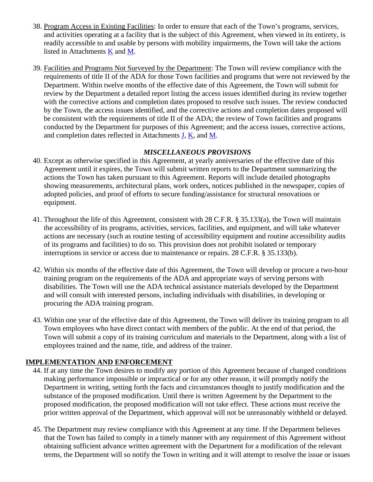- 38. Program Access in Existing Facilities: In order to ensure that each of the Town's programs, services, and activities operating at a facility that is the subject of this Agreement, when viewed in its entirety, is readily accessible to and usable by persons with mobility impairments, the Town will take the actions listed in Attachments [K](http://www.ada.gov/poestenkill-pca/poestenkill-attk.htm) and [M.](http://www.ada.gov/poestenkill-pca/poestenkill-attm.htm)
- 39. Facilities and Programs Not Surveyed by the Department: The Town will review compliance with the requirements of title II of the ADA for those Town facilities and programs that were not reviewed by the Department. Within twelve months of the effective date of this Agreement, the Town will submit for review by the Department a detailed report listing the access issues identified during its review together with the corrective actions and completion dates proposed to resolve such issues. The review conducted by the Town, the access issues identified, and the corrective actions and completion dates proposed will be consistent with the requirements of title II of the ADA; the review of Town facilities and programs conducted by the Department for purposes of this Agreement; and the access issues, corrective actions, and completion dates reflected in Attachments  $J$ ,  $K$ , and  $M$ .

## *MISCELLANEOUS PROVISIONS*

- 40. Except as otherwise specified in this Agreement, at yearly anniversaries of the effective date of this Agreement until it expires, the Town will submit written reports to the Department summarizing the actions the Town has taken pursuant to this Agreement. Reports will include detailed photographs showing measurements, architectural plans, work orders, notices published in the newspaper, copies of adopted policies, and proof of efforts to secure funding/assistance for structural renovations or equipment.
- 41. Throughout the life of this Agreement, consistent with 28 C.F.R. § 35.133(a), the Town will maintain the accessibility of its programs, activities, services, facilities, and equipment, and will take whatever actions are necessary (such as routine testing of accessibility equipment and routine accessibility audits of its programs and facilities) to do so. This provision does not prohibit isolated or temporary interruptions in service or access due to maintenance or repairs. 28 C.F.R. § 35.133(b).
- 42. Within six months of the effective date of this Agreement, the Town will develop or procure a two-hour training program on the requirements of the ADA and appropriate ways of serving persons with disabilities. The Town will use the ADA technical assistance materials developed by the Department and will consult with interested persons, including individuals with disabilities, in developing or procuring the ADA training program.
- 43. Within one year of the effective date of this Agreement, the Town will deliver its training program to all Town employees who have direct contact with members of the public. At the end of that period, the Town will submit a copy of its training curriculum and materials to the Department, along with a list of employees trained and the name, title, and address of the trainer.

# **IMPLEMENTATION AND ENFORCEMENT**

- 44. If at any time the Town desires to modify any portion of this Agreement because of changed conditions making performance impossible or impractical or for any other reason, it will promptly notify the Department in writing, setting forth the facts and circumstances thought to justify modification and the substance of the proposed modification. Until there is written Agreement by the Department to the proposed modification, the proposed modification will not take effect. These actions must receive the prior written approval of the Department, which approval will not be unreasonably withheld or delayed.
- 45. The Department may review compliance with this Agreement at any time. If the Department believes that the Town has failed to comply in a timely manner with any requirement of this Agreement without obtaining sufficient advance written agreement with the Department for a modification of the relevant terms, the Department will so notify the Town in writing and it will attempt to resolve the issue or issues